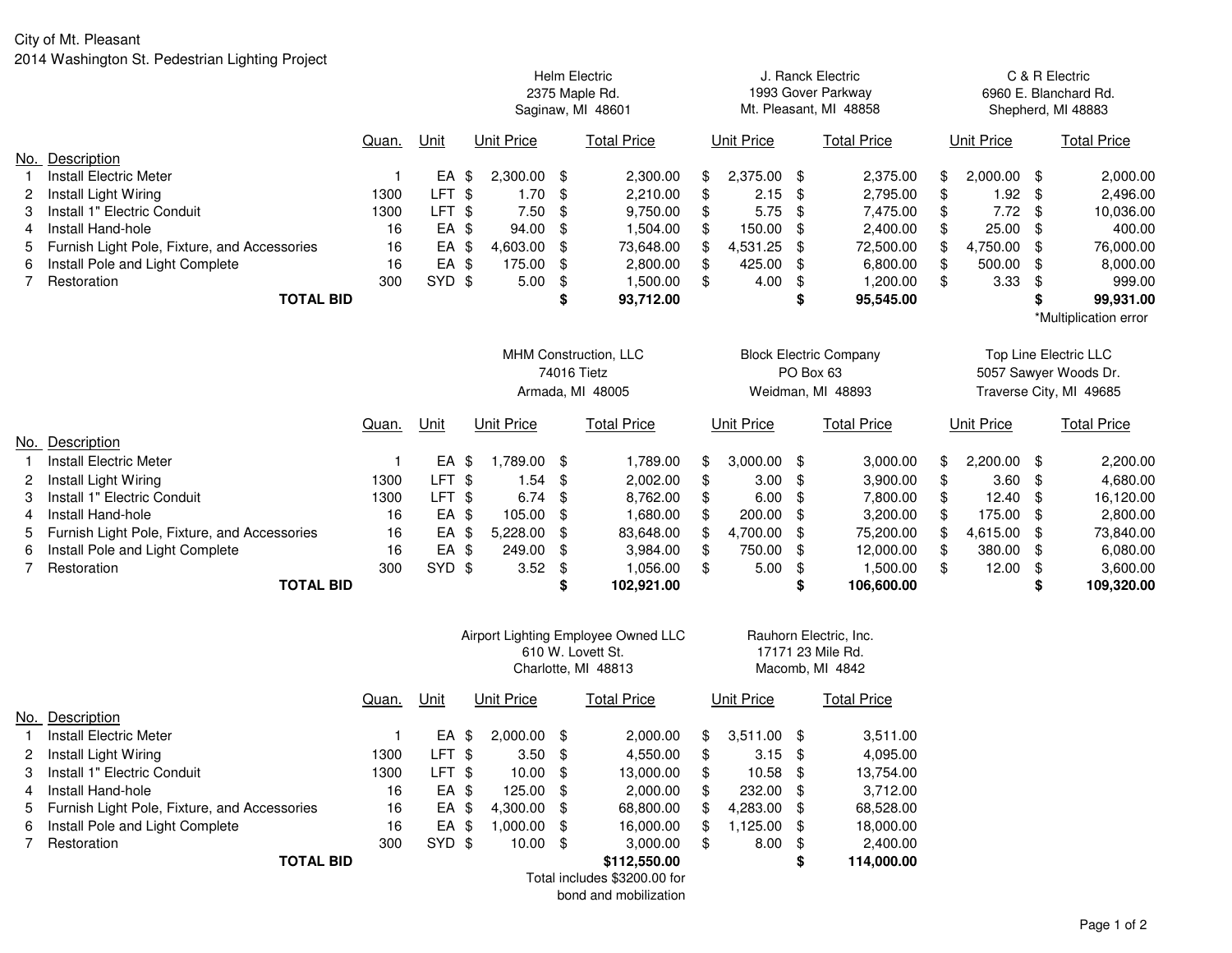|   |                                              |       |                   |                   |    | <b>Helm Electric</b><br>2375 Maple Rd.<br>Saginaw, MI 48601 |     |            |                         | J. Ranck Electric<br>1993 Gover Parkway<br>Mt. Pleasant, MI 48858 |    |                   | C & R Electric<br>6960 E. Blanchard Rd.<br>Shepherd, MI 48883 |                       |  |
|---|----------------------------------------------|-------|-------------------|-------------------|----|-------------------------------------------------------------|-----|------------|-------------------------|-------------------------------------------------------------------|----|-------------------|---------------------------------------------------------------|-----------------------|--|
|   |                                              | Quan. | Unit              | Unit Price        |    | <b>Total Price</b>                                          |     | Unit Price |                         | <b>Total Price</b>                                                |    | <b>Unit Price</b> |                                                               | <b>Total Price</b>    |  |
|   | No. Description                              |       |                   |                   |    |                                                             |     |            |                         |                                                                   |    |                   |                                                               |                       |  |
|   | <b>Install Electric Meter</b>                |       | EA \$             | 2,300.00 \$       |    | 2,300.00                                                    | \$  | 2,375.00   | \$                      | 2,375.00                                                          |    | 2,000.00          | -\$                                                           | 2,000.00              |  |
|   | Install Light Wiring                         | 1300  | LFT <sub>\$</sub> | 1.70              | \$ | 2,210.00                                                    | \$  | 2.15       | \$                      | 2,795.00                                                          |    | 1.92              | \$                                                            | 2,496.00              |  |
|   | Install 1" Electric Conduit                  | 1300  | LFT \$            | 7.50              | \$ | 9,750.00                                                    | \$  | 5.75       | \$                      | 7,475.00                                                          |    | 7.72              | \$                                                            | 10,036.00             |  |
|   | Install Hand-hole                            | 16    | EA \$             | 94.00             | \$ | 1,504.00                                                    | \$  | 150.00     | \$                      | 2,400.00                                                          |    | 25.00             | \$                                                            | 400.00                |  |
|   | Furnish Light Pole, Fixture, and Accessories | 16    | EA \$             | 4,603.00          | \$ | 73,648.00                                                   | \$. | 4,531.25   | \$                      | 72,500.00                                                         |    | 4,750.00          | \$                                                            | 76,000.00             |  |
| 6 | Install Pole and Light Complete              | 16    | EA \$             | 175.00            | \$ | 2,800.00                                                    | \$  | 425.00     | \$                      | 6,800.00                                                          |    | 500.00            | \$                                                            | 8,000.00              |  |
|   | Restoration                                  | 300   | SYD \$            | 5.00              | \$ | 1,500.00                                                    | \$  | 4.00       | \$                      | 1,200.00                                                          |    | 3.33              | \$                                                            | 999.00                |  |
|   | <b>TOTAL BID</b>                             |       |                   |                   | \$ | 93,712.00                                                   |     |            | \$                      | 95,545.00                                                         |    |                   |                                                               | 99,931.00             |  |
|   |                                              |       |                   |                   |    |                                                             |     |            |                         |                                                                   |    |                   |                                                               | *Multiplication error |  |
|   |                                              |       |                   |                   |    | MHM Construction, LLC                                       |     |            |                         | <b>Block Electric Company</b>                                     |    |                   |                                                               | Top Line Electric LLC |  |
|   |                                              |       |                   |                   |    | 74016 Tietz                                                 |     |            |                         | PO Box 63                                                         |    |                   |                                                               | 5057 Sawyer Woods Dr. |  |
|   |                                              |       |                   | Armada, MI 48005  |    | Weidman, MI 48893                                           |     |            | Traverse City, MI 49685 |                                                                   |    |                   |                                                               |                       |  |
|   |                                              | Quan. | Unit              | <b>Unit Price</b> |    | <b>Total Price</b>                                          |     | Unit Price |                         | <b>Total Price</b>                                                |    | <b>Unit Price</b> |                                                               | <b>Total Price</b>    |  |
|   | No. Description                              |       |                   |                   |    |                                                             |     |            |                         |                                                                   |    |                   |                                                               |                       |  |
|   | <b>Install Electric Meter</b>                |       | EA                | 1,789.00 \$<br>\$ |    | 1,789.00                                                    | \$  | 3,000.00   | \$                      | 3,000.00                                                          |    | 2,200.00          | \$                                                            | 2,200.00              |  |
|   | Install Light Wiring                         | 1300  | LFT \$            | 1.54              | \$ | 2,002.00                                                    | \$  | 3.00       | \$                      | 3,900.00                                                          | \$ | 3.60              | \$                                                            | 4,680.00              |  |
|   | Install 1" Electric Conduit                  | 1300  | LFT <sub>\$</sub> | 6.74              | \$ | 8,762.00                                                    | \$  | 6.00       | \$                      | 7,800.00                                                          |    | 12.40             | \$                                                            | 16,120.00             |  |
|   | Install Hand-hole                            | 16    | EA \$             | 105.00            | \$ | 1,680.00                                                    | \$  | 200.00     | \$                      | 3,200.00                                                          |    | 175.00            | \$                                                            | 2,800.00              |  |
|   | Furnish Light Pole, Fixture, and Accessories | 16    | EA \$             | 5,228.00          | \$ | 83,648.00                                                   | \$. | 4,700.00   | \$                      | 75,200.00                                                         |    | 4,615.00          | \$                                                            | 73,840.00             |  |
|   | Install Pole and Light Complete              | 16    | EA \$             | 249.00            | \$ | 3,984.00                                                    | \$  | 750.00     | \$                      | 12,000.00                                                         |    | 380.00            | \$.                                                           | 6,080.00              |  |
| 6 |                                              |       |                   |                   |    |                                                             |     |            |                         |                                                                   |    |                   |                                                               |                       |  |
|   | Restoration                                  | 300   | SYD \$            | 3.52              | \$ | 1,056.00                                                    | \$  | 5.00       | \$                      | 1,500.00                                                          | \$ | 12.00             | \$                                                            | 3,600.00              |  |
|   | <b>TOTAL BID</b>                             |       |                   |                   | \$ | 102,921.00                                                  |     |            |                         | 106,600.00                                                        |    |                   | \$                                                            | 109,320.00            |  |

|     |                                              |       |        | Airport Lighting Employee Owned LLC<br>610 W. Lovett St.<br>Charlotte, MI 48813 |               |      |                              |                   | Rauhorn Electric, Inc.<br>17171 23 Mile Rd.<br>Macomb, MI 4842 |      |             |  |  |  |
|-----|----------------------------------------------|-------|--------|---------------------------------------------------------------------------------|---------------|------|------------------------------|-------------------|----------------------------------------------------------------|------|-------------|--|--|--|
|     |                                              | Quan. | Unit   | <b>Unit Price</b><br><b>Total Price</b>                                         |               |      |                              | <b>Unit Price</b> |                                                                |      | Total Price |  |  |  |
| No. | Description                                  |       |        |                                                                                 |               |      |                              |                   |                                                                |      |             |  |  |  |
|     | Install Electric Meter                       |       | EA     | \$                                                                              | $2,000.00$ \$ |      | 2,000.00                     | \$                | $3,511.00$ \$                                                  |      | 3,511.00    |  |  |  |
| 2   | Install Light Wiring                         | 1300  | LFT \$ |                                                                                 | 3.50          | - \$ | 4,550.00                     | \$                | $3.15$ \$                                                      |      | 4,095.00    |  |  |  |
| 3   | Install 1" Electric Conduit                  | 1300  | LFT \$ |                                                                                 | $10.00$ \$    |      | 13.000.00                    | \$                | 10.58                                                          | - \$ | 13,754.00   |  |  |  |
| 4   | Install Hand-hole                            | 16    | EA \$  |                                                                                 | $125.00$ \$   |      | 2.000.00                     | \$                | 232.00 \$                                                      |      | 3.712.00    |  |  |  |
| 5   | Furnish Light Pole, Fixture, and Accessories | 16    | EA \$  |                                                                                 | 4.300.00 \$   |      | 68,800.00                    | \$                | 4,283.00                                                       | - \$ | 68,528.00   |  |  |  |
| 6   | Install Pole and Light Complete              | 16    | EA     | \$                                                                              | 1.000.00      | - \$ | 16,000.00                    | \$                | 1,125.00                                                       | -SS  | 18,000.00   |  |  |  |
|     | Restoration                                  | 300   | SYD \$ |                                                                                 | 10.00         | - \$ | 3,000.00                     | \$                | 8.00                                                           | -\$  | 2,400.00    |  |  |  |
|     | <b>TOTAL BID</b>                             |       |        |                                                                                 |               |      | \$112,550,00                 |                   |                                                                | \$   | 114,000.00  |  |  |  |
|     |                                              |       |        |                                                                                 |               |      | Total includes \$3200.00 for |                   |                                                                |      |             |  |  |  |
|     |                                              |       |        |                                                                                 |               |      | bond and mobilization        |                   |                                                                |      |             |  |  |  |